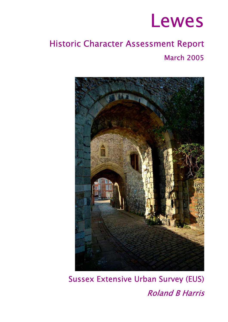

# Historic Character Assessment Report March 2005



Sussex Extensive Urban Survey (EUS) Roland B Harris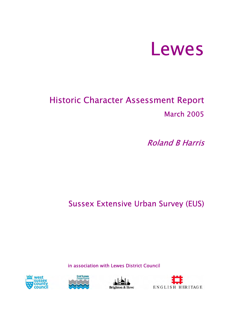

# Historic Character Assessment Report March 2005

Roland B Harris

# Sussex Extensive Urban Survey (EUS)

in association with Lewes District Council







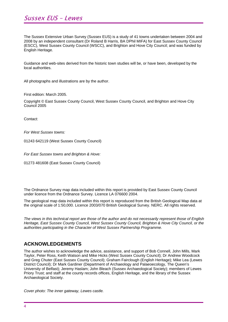# Sussex EUS – Lewes

The Sussex Extensive Urban Survey (Sussex EUS) is a study of 41 towns undertaken between 2004 and 2008 by an independent consultant (Dr Roland B Harris, BA DPhil MIFA) for East Sussex County Council (ESCC), West Sussex County Council (WSCC), and Brighton and Hove City Council; and was funded by English Heritage.

Guidance and web-sites derived from the historic town studies will be, or have been, developed by the local authorities.

All photographs and illustrations are by the author.

First edition: March 2005.

Copyright © East Sussex County Council, West Sussex County Council, and Brighton and Hove City Council 2005

Contact:

*For West Sussex towns:* 

01243 642119 (West Sussex County Council)

*For East Sussex towns and Brighton & Hove:* 

01273 481608 (East Sussex County Council)

The Ordnance Survey map data included within this report is provided by East Sussex County Council under licence from the Ordnance Survey. Licence LA 076600 2004.

The geological map data included within this report is reproduced from the British Geological Map data at the original scale of 1:50,000. Licence 2003/070 British Geological Survey. NERC. All rights reserved.

*The views in this technical report are those of the author and do not necessarily represent those of English Heritage, East Sussex County Council, West Sussex County Council, Brighton & Hove City Council, or the authorities participating in the Character of West Sussex Partnership Programme.* 

#### **ACKNOWLEDGEMENTS**

The author wishes to acknowledge the advice, assistance, and support of Bob Connell, John Mills, Mark Taylor, Peter Ross, Keith Watson and Mike Hicks (West Sussex County Council); Dr Andrew Woodcock and Greg Chuter (East Sussex County Council); Graham Fairclough (English Heritage); Mike Lea (Lewes District Council); Dr Mark Gardiner (Department of Archaeology and Palaeoecology, The Queen's University of Belfast); Jeremy Haslam; John Bleach (Sussex Archaeological Society); members of Lewes Priory Trust; and staff at the county records offices, English Heritage, and the library of the Sussex Archaeological Society.

*Cover photo: The inner gateway, Lewes castle.*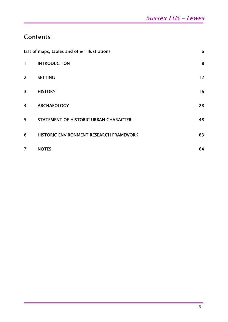# **Contents**

|                         | List of maps, tables and other illustrations | 6  |
|-------------------------|----------------------------------------------|----|
| 1                       | <b>INTRODUCTION</b>                          | 8  |
| $\overline{2}$          | <b>SETTING</b>                               | 12 |
| $\overline{\mathbf{3}}$ | <b>HISTORY</b>                               | 16 |
| 4                       | <b>ARCHAEOLOGY</b>                           | 28 |
| 5                       | STATEMENT OF HISTORIC URBAN CHARACTER        | 48 |
| 6                       | HISTORIC ENVIRONMENT RESEARCH FRAMEWORK      | 63 |
| $\overline{7}$          | <b>NOTES</b>                                 | 64 |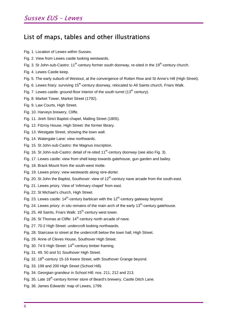# List of maps, tables and other illustrations

- Fig. 1. Location of Lewes within Sussex.
- Fig. 2. View from Lewes castle looking westwards.
- Fig. 3. St John-sub-Castro:  $11<sup>th</sup>$ -century former south doorway, re-sited in the 19<sup>th</sup>-century church.
- Fig. 4. Lewes Castle keep.
- Fig. 5. The early suburb of Westout, at the convergence of Rotten Row and St Anne's Hill (High Street).
- Fig. 6. Lewes friary: surviving 15<sup>th</sup>-century doorway, relocated to All Saints church, Friars Walk.
- Fig. 7. Lewes castle: ground-floor interior of the south turret  $(13<sup>th</sup>$  century).
- Fig. 8. Market Tower, Market Street (1792).
- Fig. 9. Law Courts, High Street.
- Fig. 10. Harveys brewery, Cliffe.
- Fig. 11. Jireh Strict Baptist chapel, Malling Street (1805).
- Fig. 12. Fitzroy House, High Street: the former library.
- Fig. 13. Westgate Street, showing the town wall.
- Fig. 14. Watergate Lane: view northwards.
- Fig. 15. St John-sub-Castro: the Magnus inscription.
- Fig. 16. St John-sub-Castro: detail of re-sited  $11<sup>th</sup>$ -century doorway (see also Fig. 3).
- Fig. 17. Lewes castle: view from shell keep towards gatehouse, gun garden and bailey.
- Fig. 18. Brack Mount from the south-west motte.
- Fig. 19. Lewes priory: view westwards along rere-dorter.
- Fig. 20. St John the Baptist, Southover: view of  $12<sup>th</sup>$ -century nave arcade from the south-east.
- Fig. 21. Lewes priory. View of 'infirmary chapel' from east.
- Fig. 22. St Michael's church, High Street.
- Fig. 23. Lewes castle:  $14<sup>th</sup>$ -century barbican with the  $12<sup>th</sup>$ -century gateway beyond.
- Fig. 24. Lewes priory: *in situ* remains of the main arch of the early 13<sup>th</sup>-century gatehouse.
- Fig. 25. All Saints, Friars Walk: 15<sup>th</sup>-century west tower.
- Fig. 26. St Thomas at Cliffe: 14<sup>th</sup>-century north arcade of nave.
- Fig. 27. 70-2 High Street: undercroft looking northwards.
- Fig. 28. Staircase to street at the undercroft below the town hall, High Street.
- Fig. 29. Anne of Cleves House, Southover High Street.
- Fig. 30. 74-5 High Street:  $14<sup>th</sup>$ -century timber framing.
- Fig. 31. 49, 50 and 51 Southover High Street.
- Fig. 32. 18<sup>th</sup>-century 15-16 Keere Street, with Southover Grange beyond.
- Fig. 33. 199 and 200 High Street (School Hill).
- Fig. 34. Georgian grandeur in School Hill: nos. 211, 212 and 213.
- Fig. 35. Late 18<sup>th</sup>-century former store of Beard's brewery, Castle Ditch Lane.
- Fig. 36. James Edwards' map of Lewes, 1799.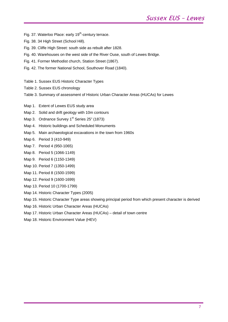- Fig. 37. Waterloo Place: early 19<sup>th</sup>-century terrace.
- Fig. 38. 34 High Street (School Hill).
- Fig. 39. Cliffe High Street: south side as rebuilt after 1828.
- Fig. 40. Warehouses on the west side of the River Ouse, south of Lewes Bridge.
- Fig. 41. Former Methodist church, Station Street (1867).
- Fig. 42. The former National School, Southover Road (1840).
- Table 1. Sussex EUS Historic Character Types
- Table 2. Sussex EUS chronology
- Table 3. Summary of assessment of Historic Urban Character Areas (HUCAs) for Lewes
- Map 1. Extent of Lewes EUS study area
- Map 2. Solid and drift geology with 10m contours
- Map 3. Ordnance Survey 1<sup>st</sup> Series 25" (1873)
- Map 4. Historic buildings and Scheduled Monuments
- Map 5. Main archaeological excavations in the town from 1960s
- Map 6. Period 3 (410-949)
- Map 7. Period 4 (950-1065)
- Map 8. Period 5 (1066-1149)
- Map 9. Period 6 (1150-1349)
- Map 10. Period 7 (1350-1499)
- Map 11. Period 8 (1500-1599)
- Map 12. Period 9 (1600-1699)
- Map 13. Period 10 (1700-1799)
- Map 14. Historic Character Types (2005)
- Map 15. Historic Character Type areas showing principal period from which present character is derived
- Map 16. Historic Urban Character Areas (HUCAs)
- Map 17. Historic Urban Character Areas (HUCAs) detail of town centre
- Map 18. Historic Environment Value (HEV)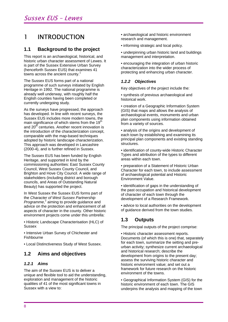# 1 INTRODUCTION

### **1.1 Background to the project**

This report is an archaeological, historical, and historic urban character assessment of Lewes. It is part of the Sussex Extensive Urban Survey (henceforth Sussex EUS) that examines 41 towns across the ancient county.<sup>1</sup>

The Sussex EUS forms part of a national programme of such surveys initiated by English Heritage in 1992. The national programme is already well underway, with roughly half the English counties having been completed or currently undergoing study.

As the surveys have progressed, the approach has developed. In line with recent surveys, the Sussex EUS includes more modern towns, the main significance of which stems from the 19<sup>th</sup> and 20<sup>th</sup> centuries. Another recent innovation is the introduction of the characterization concept, comparable with the map-based techniques adopted by historic landscape characterization. This approach was developed in Lancashire (2000-4), and is further refined in Sussex.

The Sussex EUS has been funded by English Heritage, and supported in kind by the commissioning authorities: East Sussex County Council, West Sussex County Council, and Brighton and Hove City Council. A wide range of stakeholders (including district and borough councils, and Areas of Outstanding Natural Beauty) has supported the project.

In West Sussex the Sussex EUS forms part of the *Character of West Sussex Partnership*  Programme,<sup>2</sup> aiming to provide guidance and advice on the protection and enhancement of all aspects of character in the county. Other historic environment projects come under this umbrella:

• Historic Landscape Characterisation (HLC) of **Sussex** 

• Intensive Urban Survey of Chichester and Fishbourne

• Local Distinctiveness Study of West Sussex.

## **1.2 Aims and objectives**

#### *1.2.1 Aims*

The aim of the Sussex EUS is to deliver a unique and flexible tool to aid the understanding, exploration and management of the historic qualities of 41 of the most significant towns in Sussex with a view to:

- archaeological and historic environment research and management.
- informing strategic and local policy.
- underpinning urban historic land and buildings management and interpretation.

• encouraging the integration of urban historic characterization into the wider process of protecting and enhancing urban character.

#### *1.2.2 Objectives*

Key objectives of the project include the:

• synthesis of previous archaeological and historical work.

• creation of a Geographic Information System (GIS) that maps and allows the analysis of archaeological events, monuments and urban plan components using information obtained from a variety of sources.

• analysis of the origins and development of each town by establishing and examining its principal plan components and existing standing structures.

• identification of county-wide Historic Character Types and attribution of the types to different areas within each town.

• preparation of a Statement of Historic Urban Character for each town, to include assessment of archaeological potential and Historic Environment Value.

• identification of gaps in the understanding of the past occupation and historical development of character of each town through the development of a Research Framework.

• advice to local authorities on the development of guidance derived from the town studies.

## **1.3 Outputs**

The principal outputs of the project comprise:

• Historic character assessment reports. Documents (of which this is one) that, separately for each town, summarize the setting and preurban activity; synthesize current archaeological and historical research; describe the development from origins to the present day; assess the surviving historic character and historic environment value; and set out a framework for future research on the historic environment of the towns.

• Geographical Information System (GIS) for the historic environment of each town. The GIS underpins the analysis and mapping of the town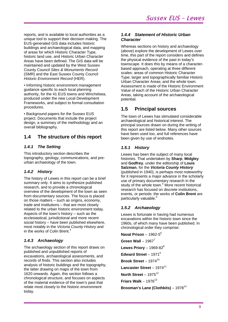reports, and is available to local authorities as a unique tool to support their decision making. The EUS-generated GIS data includes historic buildings and archaeological data, and mapping of areas for which Historic Character Type, historic land use, and Historic Urban Character Areas have been defined. The GIS data will be maintained and updated by the West Sussex County Council *Sites & Monuments Record*  (SMR) and the East Sussex County Council *Historic Environment Record* (HER).

• Informing historic environment management guidance specific to each local planning authority, for the 41 EUS towns and Winchelsea, produced under the new Local Development Frameworks, and subject to formal consultation procedures.

• Background papers for the Sussex EUS project. Documents that include the project design, a summary of the methodology and an overall bibliography.

## **1.4 The structure of this report**

#### *1.4.1 The Setting*

This introductory section describes the topography, geology, communications, and preurban archaeology of the town.

#### *1.4.2 History*

The history of Lewes in this report can be a brief summary only. It aims to synthesize published research, and to provide a chronological overview of the development of the town as seen from documentary sources. The focus is placed on those matters – such as origins, economy, trade and institutions – that are most closely related to the urban historic environment today. Aspects of the town's history – such as the ecclesiastical, jurisdictional and more recent social history – have been published elsewhere, most notably in the *Victoria County History* and in the works of Colin Brent. $3$ 

#### *1.4.3 Archaeology*

The archaeology section of this report draws on published and unpublished reports of excavations, archaeological assessments, and records of finds. This section also includes analysis of historic buildings and the topography, the latter drawing on maps of the town from 1620 onwards. Again, this section follows a chronological structure, and focuses on aspects of the material evidence of the town's past that relate most closely to the historic environment today.

#### *1.4.4 Statement of Historic Urban Character*

Whereas sections on history and archaeology (above) explore the development of Lewes over time, this part of the report considers and defines the physical evidence of the past in today's townscape. It does this by means of a characterbased approach, operating at three different scales: areas of common Historic Character Type; larger and topographically familiar Historic Urban Character Areas; and the whole town. Assessment is made of the Historic Environment Value of each of the Historic Urban Character Areas, taking account of the archaeological potential.

## **1.5 Principal sources**

The town of Lewes has stimulated considerable archaeological and historical interest. The principal sources drawn on during the writing of this report are listed below. Many other sources have been used too, and full references have been given by use of endnotes.

#### *1.5.1 History*

Lewes has been the subject of many local histories. That undertaken by **Sharp**, **Midgley**  and **Godfrey**, under the editorship of **Louis Salzman**, for the *Victoria County History*  (published in 1940), is perhaps most noteworthy for it represents a major advance in the scholarly use of primary documentary research in the study of the whole town.<sup>4</sup> More recent historical research has focused on discrete institutions, events, or periods: the works of **Colin Brent** are particularly valuable.<sup>5</sup>

#### *1.5.2 Archaeology*

Lewes is fortunate in having had numerous excavations within the historic town since the 1960s, of which many have been published. In chronological order they comprise:

**Naval Prison** – 1962-56

**Green Wall** – 1967<sup>7</sup> **Lewes Priory** – 1969-82 $^8$ 

**Edward Street** – 1971<sup>9</sup>

**Brook Street** – 1974 $10$ 

**Lancaster Street** – 1974<sup>11</sup>

**North Street** – 1975<sup>12</sup>

**Friars Walk** – 1976 $13$ 

Brooman's Lane (Clothkits) – 1978<sup>14</sup>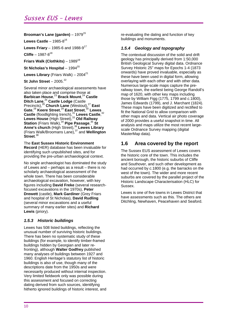# Sussex EUS – Lewes

#### **Brooman's Lane (garden)** – 1979<sup>15</sup>

**Lewes Castle** – 1985-8<sup>16</sup>

**Lewes Friary** – 1985-6 and 1988-9<sup>17</sup>

**Cliffe** – 1987-8<sup>18</sup>

**Friars Walk (Clothkits)** – 198919

**St Nicholas's Hospital** – 1994<sup>20</sup>

**Lewes Library** (Friars Walk) –  $2004^{21}$ 

**St John Street** –  $2005.<sup>22</sup>$ 

Several minor archaeological assessments have also taken place and comprise those at **Barbican House**, <sup>23</sup>**Brack Mount**, <sup>24</sup>**Castle Ditch Lane**, <sup>25</sup>**Castle Lodge** (Castle Precincts),<sup>26</sup> Church Lane (Westout),<sup>27</sup> East **Gate**, <sup>28</sup>**Keere Street**, <sup>29</sup>**East Street**, <sup>30</sup>**Lewes Castle** (floodlighting trench),<sup>31</sup> Lewes Castle,<sup>32</sup> **Lewes House** (High Street),<sup>33</sup>**Old Railway Station** (Friars Walk),34 **Pipe Passage**, <sup>35</sup>**St**  Anne's church (High Street),<sup>36</sup> Lewes Library (Friars Walk/Broomans Lane),37 and **Wellington Street**. 38

The **East Sussex Historic Environment Record** (HER) database has been invaluable for identifying such unpublished sites, and for providing the pre-urban archaeological context.

No single archaeologist has dominated the study of Lewes and – perhaps as a result – there is no scholarly archaeological assessment of the whole town. There has been considerable archaeological excavation, however, with key figures including **David Freke** (several researchfocused excavations in the 1970s), **Peter Drewett** (castle), **Mark Gardiner** (Grey Friars and hospital of St Nicholas), **David Rudling**  (several minor excavations and a useful summary of many earlier sites) and **Richard Lewis** (priory).

#### *1.5.3 Historic buildings*

Lewes has 508 listed buildings, reflecting the unusual number of surviving historic buildings. There has been no systematic study of these buildings (for example, to identify timber-framed buildings hidden by Georgian and later refronting), although **Walter Godfrey** published many analyses of buildings between 1927 and 1960. English Heritage's statutory list of historic buildings is also of use, though many of the descriptions date from the 1950s and were necessarily produced without internal inspection. Very limited fieldwork only was possible during this assessment and focused on correcting dating derived from such sources, identifying hitherto ignored buildings of historic interest, and re-evaluating the dating and function of key buildings and monuments.

#### *1.5.4 Geology and topography*

The contextual discussion of the solid and drift geology has principally derived from 1:50,000 British Geological Survey digital data. Ordnance Survey Historic 25" maps for Epochs 1-4 (1873 onwards) have proved invaluable, especially as these have been used in digital form, allowing overlaying with each other and with other data. Numerous large-scale maps capture the prerailway town, the earliest being George Randoll's map of 1620, with other key maps including those by William Figg (1775, 1799 and *c.*1800), James Edwards (1799), and J. Marchant (1824). These maps have been digitized and rectified to fit the National Grid to allow comparison with other maps and data. Vertical air photo coverage of 2000 provides a useful snapshot in time. All analysis and maps utilize the most recent largescale Ordnance Survey mapping (digital MasterMap data).

### **1.6 Area covered by the report**

The Sussex EUS assessment of Lewes covers the historic core of the town. This includes the ancient borough, the historic suburbs of Cliffe and Southover, and such other development as had occurred by *c.*1800 (e.g. the barracks on the west of the town). The wider and more recent suburbs are covered by the parallel project of the Historic Landscape Characterisation (HLC) for Sussex.

Lewes is one of five towns in Lewes District that have assessments such as this. The others are Ditchling, Newhaven, Peacehaven and Seaford.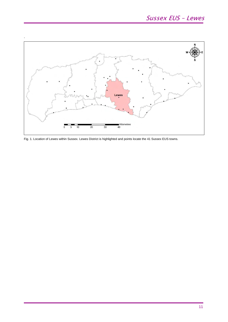

Fig. 1. Location of Lewes within Sussex. Lewes District is highlighted and points locate the 41 Sussex EUS towns.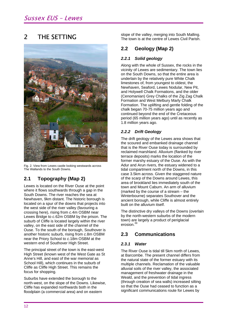#### 2 THE SETTING



Fig. 2. View from Lewes castle looking westwards across The Wallands to the South Downs.

# **2.1 Topography (Map 2)**

Lewes is located on the River Ouse at the point where it flows southwards through a gap in the South Downs. The river reaches the sea at Newhaven, 9km distant. The historic borough is located on a spur of the downs that projects into the west side of the river valley (favouring a crossing here), rising from *c.*4m OSBM near Lewes Bridge to *c.*62m OSBM by the prison. The suburb of Cliffe is located largely within the river valley, on the east side of the channel of the Ouse. To the south of the borough, Southover is another historic suburb, rising from *c.*8m OSBM near the Priory School to *c.*18m OSBM at the western end of Southover High Street.

The principal street of the town is the east-west High Street (known west of the West Gate as St Anne's Hill, and east of the war memorial as School Hill), which continues in the suburb of Cliffe as Cliffe High Street. This remains the focus for shopping.

Suburbs have extended the borough to the north-west, on the slope of the Downs. Likewise, Cliffe has expanded northwards both in the floodplain (a commercial area) and on eastern

slope of the valley, merging into South Malling. The town is at the centre of Lewes Civil Parish.

## **2.2 Geology (Map 2)**

#### *2.2.1 Solid geology*

Along with the whole of Sussex, the rocks in the vicinity of Lewes are sedimentary. The town lies on the South Downs, so that the entire area is underlain by the relatively pure White Chalk limestones of, from youngest to oldest, the Newhaven, Seaford, Lewes Nodular, New Pit, and Holywell Chalk Formations, and the older (Cenomanian) Grey Chalks of the Zig Zag Chalk Formation and West Melbury Marly Chalk Formation. The uplifting and gentle folding of the chalk began 70-75 million years ago and continued beyond the end of the Cretaceous period (65 million years ago) until as recently as 1.8 million years ago.

#### *2.2.2 Drift Geology*

The drift geology of the Lewes area shows that the scoured and embanked drainage channel that is the River Ouse today is surrounded by reclaimed marshland. Alluvium (flanked by river terrace deposits) marks the location of the former marshy estuary of the Ouse. As with the Adur and Arun rivers, the estuary widened to a tidal compartment north of the Downs, in this case 3.5km across. Given the staggered nature of the scarp of the Downs around Lewes, this area of brookland lies immediately south of the town and Mount Caburn. An arm of alluvium (marked by the course of a stream – the Winterbourne) separates Southover and the ancient borough, while Cliffe is almost entirely built on the alluvium itself.

The distinctive dry valleys of the Downs (overlain by the north-western suburbs of the modern town) are largely a product of periglacial erosion.39

## **2.3 Communications**

#### *2.3.1 Water*

The River Ouse is tidal till 5km north of Lewes, at Barcombe. The present channel differs from the natural state of the former estuary with its multiple channels. Reclamation of the valuable alluvial soils of the river valley, the associated management of freshwater drainage in the Weald, and the prevention of tidal ingress (through creation of sea walls) increased silting so that the Ouse had ceased to function as a significant communications route for Lewes by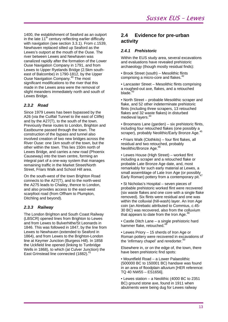1400, the establishment of Seaford as an outport in the late  $11<sup>th</sup>$  century reflecting earlier difficulty with navigation (see section 3.3.1). From *c.*1539, Newhaven replaced silted up Seaford as the Lewes's outport at the mouth of the Ouse. The river between Lewes and Newhaven was canalized rapidly after the formation of the Lower Ouse Navigation Company in 1791, and from Lewes to Upper Ryelands Bridge (2.5km southeast of Balcombe) in 1790-1812, by the Upper Ouse Navigation Company.40 The most significant modifications to the river that this made in the Lewes area were the removal of slight meanders immediately north and south of Lewes Bridge.

#### *2.3.2 Road*

Since 1979 Lewes has been bypassed by the A26 (via the Cuilfail Tunnel to the east of Cliffe) and by the A27(T), to the south of the town. Previously these routes to London, Brighton and Eastbourne passed through the town. The construction of the bypass and tunnel also involved creation of two new bridges across the River Ouse: one 1km south of the town, but the other within the town. This lies 150m north of Lewes Bridge, and carries a new road (Phoenix Causeway) into the town centre, forming an integral part of a one-way system that manages remaining traffic in the Market Street/North Street, Friars Walk and School Hill area.

On the south-west of the town Brighton Road connects to the A27(T), and to the north-west the A275 leads to Chailey, thence to London, and also provides access to the east-west scarpfoot road (from Offham to Plumpton, Ditchling and beyond).

#### *2.3.3 Railway*

The London Brighton and South Coast Railway (LBSCR) opened lines from Brighton to Lewes and from Lewes to Bulverhithe/St Leonards in 1846. This was followed in 1847, by the line from Lewes to Newhaven (extended to Seaford in 1864), and from Lewes to the Brighton-London line at Keymer Junction (Burgess Hill). In 1858 the Uckfield line opened (linking to Tunbridge Wells in 1868), to which (at Culver Junction) the East Grinstead line connected (1882).<sup>41</sup>

### **2.4 Evidence for pre-urban activity**

#### *2.4.1 Prehistoric*

Within the EUS study area, several excavations and evaluations have revealed prehistoric archaeology (though mostly residual finds):

• Brook Street (south) – Mesolithic flints comprising a micro-core and flakes.<sup>42</sup>

• Lancaster Street – Mesolithic flints comprising a roughed-out axe, flakes, and a retouched blade. $43$ 

• North Street – probable Mesolithic scraper and flake, and 52 other indeterminate prehistoric flints (including three scrapers, 13 retouched flakes and 32 waste flakes) in disturbed medieval layers.<sup>44</sup>

• Broomans Lane (garden) – six prehistoric flints, **including four retouched flakes (one possibly a**<br>including four retouched flakes (one possibly a scraper), probably Neolithic/Early Bronze Age.

• Friars Walk (Clothkits) – four flint flakes, all residual and two retouched, probably Neolithic/Bronze Age.<sup>4</sup>

• Lewes House (High Street) – worked flint including a scraper and a retouched flake or probable Late Bronze Age date, and, most remarkably for such early material at Lewes, a **small assemblage of Late Iron Age (or possibly**<br>small assemblage of Late Iron Age (or possibly Early Roman) pottery from a contemporary pit.<sup>4</sup>

• St Nicholas's Hospital – seven pieces of probable prehistoric worked flint were recovered (six waste flakes and one core with a single flake removed). Six flints were residual and one was within the colluvial (hill-wash) layer. An Iron Age coin (an Atrebatic attributed to Commius, *c.*45 30 BC) was recovered, also from the colluvium that appears to date from the Iron Age. $48$ 

• Castle Ditch Lane – a single prehistoric hard hammer flake, retouched.<sup>48</sup>

• Lewes Priory – 15 sherds of Iron Age or Roman pottery were recovered in excavations of the 'infirmary chapel' and reredorter.<sup>50</sup>

Elsewhere in, or on the edge of, the town, there have been prehistoric find spots:

• Mountfield Road – a Lower Palaeolithic (500000 BC to 150001 BC) handaxe was found in an area of floodplain alluvium [HER reference: TQ 40 NW55 – ES1656].

• Lewes station – a Neolithic (4000 BC to 2351 BC) ground stone axe, found in 1911 when abutments were being dug for Lewes railway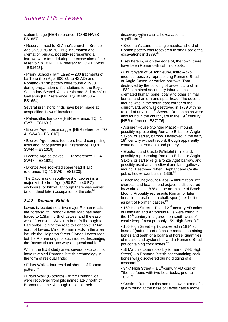# Sussex EUS – Lewes

station bridge [HER reference: TQ 40 NW58 – ES1657].

• Reservoir next to St Anne's church – Bronze Age (2350 BC to 701 BC) inhumation and cremation burials, possibly representing a barrow, were found during the excavation of the reservoir in 1834 [HER reference: TQ 41 SW49 – ES1623].

• Priory School (Ham Lane) – 200 fragments of La Tene (Iron Age: 800 BC to 42 AD) and Romano-British pottery were found *c*.1930 during preparation of foundations for the Boys' Secondary School. Also a coin and '3rd brass' of Gallienus [HER reference: TQ 40 NW53 – ES1654].

Several prehistoric finds have been made at unspecified 'Lewes' locations:

• Palaeolithic handaxe [HER reference: TQ 41 SW7 – ES1631].

• Bronze Age bronze dagger [HER reference: TQ 41 SW43 – ES1618].

• Bronze Age bronze founders hoard comprising axes and ingot pieces [HER reference: TQ 41 SW44 – ES1619].

• Bronze Age palstaves [HER reference: TQ 41 SW47 – ES1621].

• Bronze Age socketed spearhead [HER reference: TQ 41 SW9 – ES1633].

The Caburn (2km south-west of Lewes) is a major Middle Iron Age (450 BC to 40 BC) enclosure, or hillfort, although there was earlier (and indeed later) occupation of the site. $5$ 

#### *2.4.2 Romano-British*

Lewes is located near two major Roman roads: the north-south London-Lewes road has been traced to 1.3km north of Lewes, and the eastwest 'Greensand Way' ran from Pulborough to Barcombe, joining the road to London *c.*4.5km north of Lewes. Minor Roman roads in the area include the Heighton Street-Glynde-Lewes road, but the Roman origin of such routes descending the Downs via terrace ways is questionable.<sup>5</sup>

Within the EUS study area, several excavations have revealed Romano-British archaeology in the form of residual finds:

• Friars Walk – four residual sherds of Roman pottery.53

• Friars Walk (Clothkits) – three Roman tiles were recovered from pits immediately north of Broomans Lane. Although residual, their

discovery within a small excavation is significant.<sup>54</sup>

• Brooman's Lane – a single residual sherd of Roman pottery was recovered in small-scale trial excavations in 1979.<sup>55</sup>

Elsewhere in, or on the edge of, the town, there have been Romano-British find spots:

• Churchyard of St John-sub-Castro – two mounds, possibly representing Romano-British or Anglo-Saxon, or earlier, barrows. That destroyed by the building of present church in 1839 contained secondary inhumations, cremated human bone, boar and other animal bones, and an urn and spearhead. The second mound was in the south-east corner of the churchyard, and was destroyed in 1779 with no record of any finds.56 Several Roman coins were also found in the churchyard in the  $19<sup>th</sup>$  century [HER reference: ES7176].

• Abinger House (Abinger Place) – mound, possibly representing Romano-British or Anglo-Saxon, or earlier, barrow. Destroyed in the early 19<sup>th</sup> century without record, though apparently contained internments and pottery.<sup>5</sup>

• Elephant and Castle (Whitehill) – mound, possibly representing Romano-British or Anglo-Saxon, or earlier (e.g. Bronze Age) barrow, and possibly used as a medieval and later gallows mound. Destroyed when Elephant and Castle public house was built in 1838.<sup>58</sup>

• Brack Mount (Mount Place) – inhumation with charcoal and boar's head adjacent, discovered by workmen in 1838 on the north side of Brack Mount. Probably represents Roman or later burial in natural end to chalk spur (later built up as part of Norman castle).<sup>5</sup>

• 159 High Street – 1<sup>st</sup> and 2<sup>nd</sup>-century AD coins of Domitian and Antoninus Pius were found in the  $19<sup>th</sup>$  century in a garden on south-west of castle keep (most probably 159 High Street).<sup>60</sup>

• 166 High Street – pit discovered in 1814 at base of (natural part of) castle motte, containing bones and teeth of a boar and horse, quantities of mussel and oyster shell and a Romano-British pot containing cock bones.<sup>6</sup>

• St Martin's Lane (possibly to rear of 74-5 High Street) – a Romano-British pot containing cock bones was discovered during digging of a cesspool.<sup>62</sup>

• 34-7 High Street – a 1<sup>st</sup>-century AD coin of Tiberius found with two boar tusks, prior to 1824 63

• Castle – Roman coins and the lower stone of a quern found at the base of Lewes castle motte